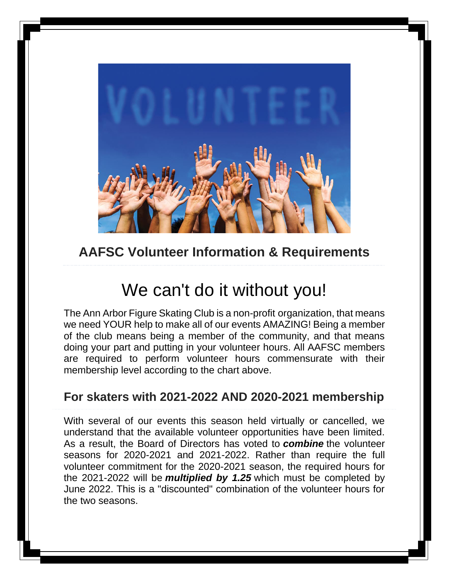

### **AAFSC Volunteer Information & Requirements**

# We can't do it without you!

The Ann Arbor Figure Skating Club is a non-profit organization, that means we need YOUR help to make all of our events AMAZING! Being a member of the club means being a member of the community, and that means doing your part and putting in your volunteer hours. All AAFSC members are required to perform volunteer hours commensurate with their membership level according to the chart above.

#### **For skaters with 2021-2022 AND 2020-2021 membership**

With several of our events this season held virtually or cancelled, we understand that the available volunteer opportunities have been limited. As a result, the Board of Directors has voted to *combine* the volunteer seasons for 2020-2021 and 2021-2022. Rather than require the full volunteer commitment for the 2020-2021 season, the required hours for the 2021-2022 will be *multiplied by 1.25* which must be completed by June 2022. This is a "discounted" combination of the volunteer hours for the two seasons.